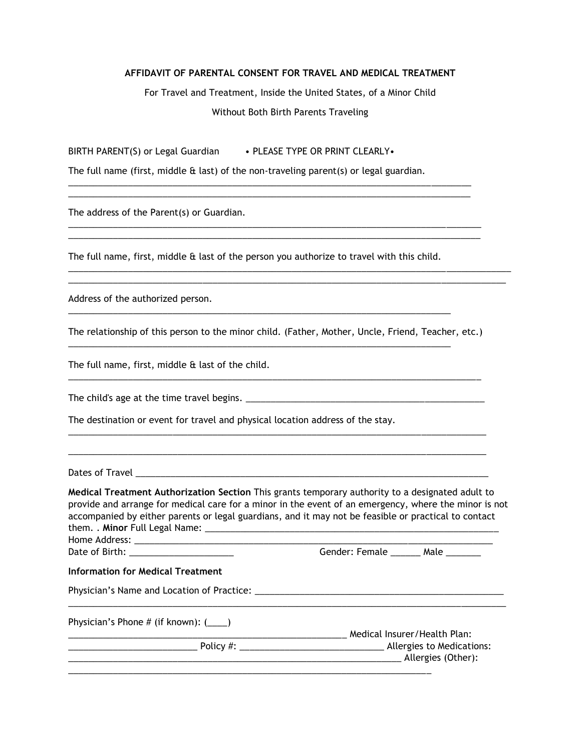## **AFFIDAVIT OF PARENTAL CONSENT FOR TRAVEL AND MEDICAL TREATMENT**

For Travel and Treatment, Inside the United States, of a Minor Child Without Both Birth Parents Traveling

BIRTH PARENT(S) or Legal Guardian • PLEASE TYPE OR PRINT CLEARLY.

The full name (first, middle & last) of the non-traveling parent(s) or legal guardian.

\_\_\_\_\_\_\_\_\_\_\_\_\_\_\_\_\_\_\_\_\_\_\_\_\_\_\_\_\_\_\_\_\_\_\_\_\_\_\_\_\_\_\_\_\_\_\_\_\_\_\_\_\_\_\_\_\_\_\_\_\_\_\_\_\_\_\_\_\_\_\_\_\_\_\_\_\_\_\_\_\_ \_\_\_\_\_\_\_\_\_\_\_\_\_\_\_\_\_\_\_\_\_\_\_\_\_\_\_\_\_\_\_\_\_\_\_\_\_\_\_\_\_\_\_\_\_\_\_\_\_\_\_\_\_\_\_\_\_\_\_\_\_\_\_\_\_\_\_\_\_\_\_\_\_\_\_\_\_\_\_\_\_

\_\_\_\_\_\_\_\_\_\_\_\_\_\_\_\_\_\_\_\_\_\_\_\_\_\_\_\_\_\_\_\_\_\_\_\_\_\_\_\_\_\_\_\_\_\_\_\_\_\_\_\_\_\_\_\_\_\_\_\_\_\_\_\_\_\_\_\_\_\_\_\_\_\_\_\_\_\_\_\_\_\_\_ \_\_\_\_\_\_\_\_\_\_\_\_\_\_\_\_\_\_\_\_\_\_\_\_\_\_\_\_\_\_\_\_\_\_\_\_\_\_\_\_\_\_\_\_\_\_\_\_\_\_\_\_\_\_\_\_\_\_\_\_\_\_\_\_\_\_\_\_\_\_\_\_\_\_\_\_\_\_\_\_\_\_\_

\_\_\_\_\_\_\_\_\_\_\_\_\_\_\_\_\_\_\_\_\_\_\_\_\_\_\_\_\_\_\_\_\_\_\_\_\_\_\_\_\_\_\_\_\_\_\_\_\_\_\_\_\_\_\_\_\_\_\_\_\_\_\_\_\_\_\_\_\_\_\_\_\_\_\_\_\_\_\_\_\_\_\_\_\_\_\_\_\_ \_\_\_\_\_\_\_\_\_\_\_\_\_\_\_\_\_\_\_\_\_\_\_\_\_\_\_\_\_\_\_\_\_\_\_\_\_\_\_\_\_\_\_\_\_\_\_\_\_\_\_\_\_\_\_\_\_\_\_\_\_\_\_\_\_\_\_\_\_\_\_\_\_\_\_\_\_\_\_\_\_\_\_\_\_\_\_\_

The address of the Parent(s) or Guardian.

The full name, first, middle & last of the person you authorize to travel with this child.

\_\_\_\_\_\_\_\_\_\_\_\_\_\_\_\_\_\_\_\_\_\_\_\_\_\_\_\_\_\_\_\_\_\_\_\_\_\_\_\_\_\_\_\_\_\_\_\_\_\_\_\_\_\_\_\_\_\_\_\_\_\_\_\_\_\_\_\_\_\_\_\_\_\_\_\_\_

\_\_\_\_\_\_\_\_\_\_\_\_\_\_\_\_\_\_\_\_\_\_\_\_\_\_\_\_\_\_\_\_\_\_\_\_\_\_\_\_\_\_\_\_\_\_\_\_\_\_\_\_\_\_\_\_\_\_\_\_\_\_\_\_\_\_\_\_\_\_\_\_\_\_\_\_\_

Address of the authorized person.

The relationship of this person to the minor child. (Father, Mother, Uncle, Friend, Teacher, etc.)

\_\_\_\_\_\_\_\_\_\_\_\_\_\_\_\_\_\_\_\_\_\_\_\_\_\_\_\_\_\_\_\_\_\_\_\_\_\_\_\_\_\_\_\_\_\_\_\_\_\_\_\_\_\_\_\_\_\_\_\_\_\_\_\_\_\_\_\_\_\_\_\_\_\_\_\_\_\_\_\_\_\_\_

\_\_\_\_\_\_\_\_\_\_\_\_\_\_\_\_\_\_\_\_\_\_\_\_\_\_\_\_\_\_\_\_\_\_\_\_\_\_\_\_\_\_\_\_\_\_\_\_\_\_\_\_\_\_\_\_\_\_\_\_\_\_\_\_\_\_\_\_\_\_\_\_\_\_\_\_\_\_\_\_\_\_\_\_

\_\_\_\_\_\_\_\_\_\_\_\_\_\_\_\_\_\_\_\_\_\_\_\_\_\_\_\_\_\_\_\_\_\_\_\_\_\_\_\_\_\_\_\_\_\_\_\_\_\_\_\_\_\_\_\_\_\_\_\_\_\_\_\_\_\_\_\_\_\_\_\_\_\_\_\_\_\_\_\_\_\_\_\_

The full name, first, middle & last of the child.

The child's age at the time travel begins. \_\_\_\_\_\_\_\_\_\_\_\_\_\_\_\_\_\_\_\_\_\_\_\_\_\_\_\_\_\_\_\_\_\_\_\_\_\_\_\_\_\_\_\_\_\_\_\_

The destination or event for travel and physical location address of the stay.

Dates of Travel \_\_\_\_\_\_\_\_\_\_\_\_\_\_\_\_\_\_\_\_\_\_\_\_\_\_\_\_\_\_\_\_\_\_\_\_\_\_\_\_\_\_\_\_\_\_\_\_\_\_\_\_\_\_\_\_\_\_\_\_\_\_\_\_\_\_\_\_\_\_\_

**Medical Treatment Authorization Section** This grants temporary authority to a designated adult to provide and arrange for medical care for a minor in the event of an emergency, where the minor is not accompanied by either parents or legal guardians, and it may not be feasible or practical to contact them. . **Minor** Full Legal Name: \_\_\_\_\_\_\_\_\_\_\_\_\_\_\_\_\_\_\_\_\_\_\_\_\_\_\_\_\_\_\_\_\_\_\_\_\_\_\_\_\_\_\_\_\_\_\_\_\_\_\_\_\_\_\_\_\_\_\_ Home Address: \_\_\_\_\_\_\_\_\_\_\_\_\_\_\_\_\_\_\_\_\_\_\_\_\_\_\_\_\_\_\_\_\_\_\_\_\_\_\_\_\_\_\_\_\_\_\_\_\_\_\_\_\_\_\_\_\_\_\_\_\_\_\_\_\_\_\_\_\_\_\_\_ Date of Birth: \_\_\_\_\_\_\_\_\_\_\_\_\_\_\_\_\_\_\_\_\_ Gender: Female \_\_\_\_\_\_ Male \_\_\_\_\_\_\_ **Information for Medical Treatment**  Physician's Name and Location of Practice: \_\_\_\_\_\_\_\_\_\_\_\_\_\_\_\_\_\_\_\_\_\_\_\_\_\_\_\_\_\_\_\_\_\_\_\_\_\_\_\_\_\_\_\_\_\_\_\_\_\_ \_\_\_\_\_\_\_\_\_\_\_\_\_\_\_\_\_\_\_\_\_\_\_\_\_\_\_\_\_\_\_\_\_\_\_\_\_\_\_\_\_\_\_\_\_\_\_\_\_\_\_\_\_\_\_\_\_\_\_\_\_\_\_\_\_\_\_\_\_\_\_\_\_\_\_\_\_\_\_\_\_\_\_\_\_\_\_\_ Physician's Phone # (if known): (\_\_\_\_) \_\_\_\_\_\_\_\_\_\_\_\_\_\_\_\_\_\_\_\_\_\_\_\_\_\_\_\_\_\_\_\_\_\_\_\_\_\_\_\_\_\_\_\_\_\_\_\_\_\_\_\_\_\_\_\_ Medical Insurer/Health Plan: \_\_\_\_\_\_\_\_\_\_\_\_\_\_\_\_\_\_\_\_\_\_\_\_\_\_ Policy #: \_\_\_\_\_\_\_\_\_\_\_\_\_\_\_\_\_\_\_\_\_\_\_\_\_\_\_\_\_ Allergies to Medications: \_\_\_\_\_\_\_\_\_\_\_\_\_\_\_\_\_\_\_\_\_\_\_\_\_\_\_\_\_\_\_\_\_\_\_\_\_\_\_\_\_\_\_\_\_\_\_\_\_\_\_\_\_\_\_\_\_\_\_\_\_\_\_\_\_\_\_ Allergies (Other):

\_\_\_\_\_\_\_\_\_\_\_\_\_\_\_\_\_\_\_\_\_\_\_\_\_\_\_\_\_\_\_\_\_\_\_\_\_\_\_\_\_\_\_\_\_\_\_\_\_\_\_\_\_\_\_\_\_\_\_\_\_\_\_\_\_\_\_\_\_\_\_\_\_